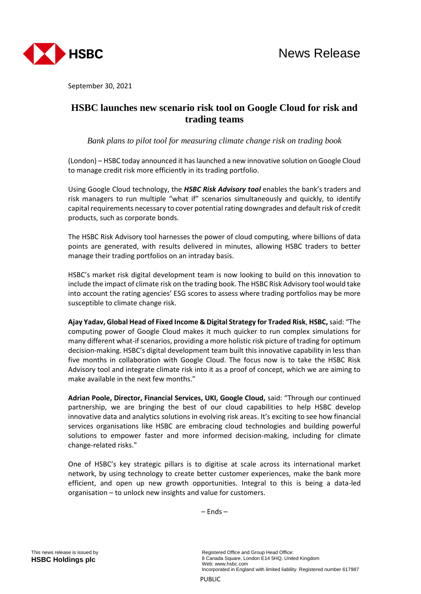

September 30, 2021

## **HSBC launches new scenario risk tool on Google Cloud for risk and trading teams**

*Bank plans to pilot tool for measuring climate change risk on trading book*

(London) – HSBC today announced it has launched a new innovative solution on Google Cloud to manage credit risk more efficiently in its trading portfolio.

Using Google Cloud technology, the *HSBC Risk Advisory tool* enables the bank's traders and risk managers to run multiple "what if" scenarios simultaneously and quickly, to identify capital requirements necessary to cover potential rating downgrades and default risk of credit products, such as corporate bonds.

The HSBC Risk Advisory tool harnesses the power of cloud computing, where billions of data points are generated, with results delivered in minutes, allowing HSBC traders to better manage their trading portfolios on an intraday basis.

HSBC's market risk digital development team is now looking to build on this innovation to include the impact of climate risk on the trading book. The HSBC Risk Advisory tool would take into account the rating agencies' ESG scores to assess where trading portfolios may be more susceptible to climate change risk.

**Ajay Yadav, Global Head of Fixed Income & Digital Strategy for Traded Risk**, **HSBC,** said: "The computing power of Google Cloud makes it much quicker to run complex simulations for many different what-if scenarios, providing a more holistic risk picture of trading for optimum decision-making. HSBC's digital development team built this innovative capability in less than five months in collaboration with Google Cloud. The focus now is to take the HSBC Risk Advisory tool and integrate climate risk into it as a proof of concept, which we are aiming to make available in the next few months."

**Adrian Poole, Director, Financial Services, UKI, Google Cloud,** said: "Through our continued partnership, we are bringing the best of our cloud capabilities to help HSBC develop innovative data and analytics solutions in evolving risk areas. It's exciting to see how financial services organisations like HSBC are embracing cloud technologies and building powerful solutions to empower faster and more informed decision-making, including for climate change-related risks."

One of HSBC's key strategic pillars is to digitise at scale across its international market network, by using technology to create better customer experiences, make the bank more efficient, and open up new growth opportunities. Integral to this is being a data-led organisation – to unlock new insights and value for customers.

– Ends –